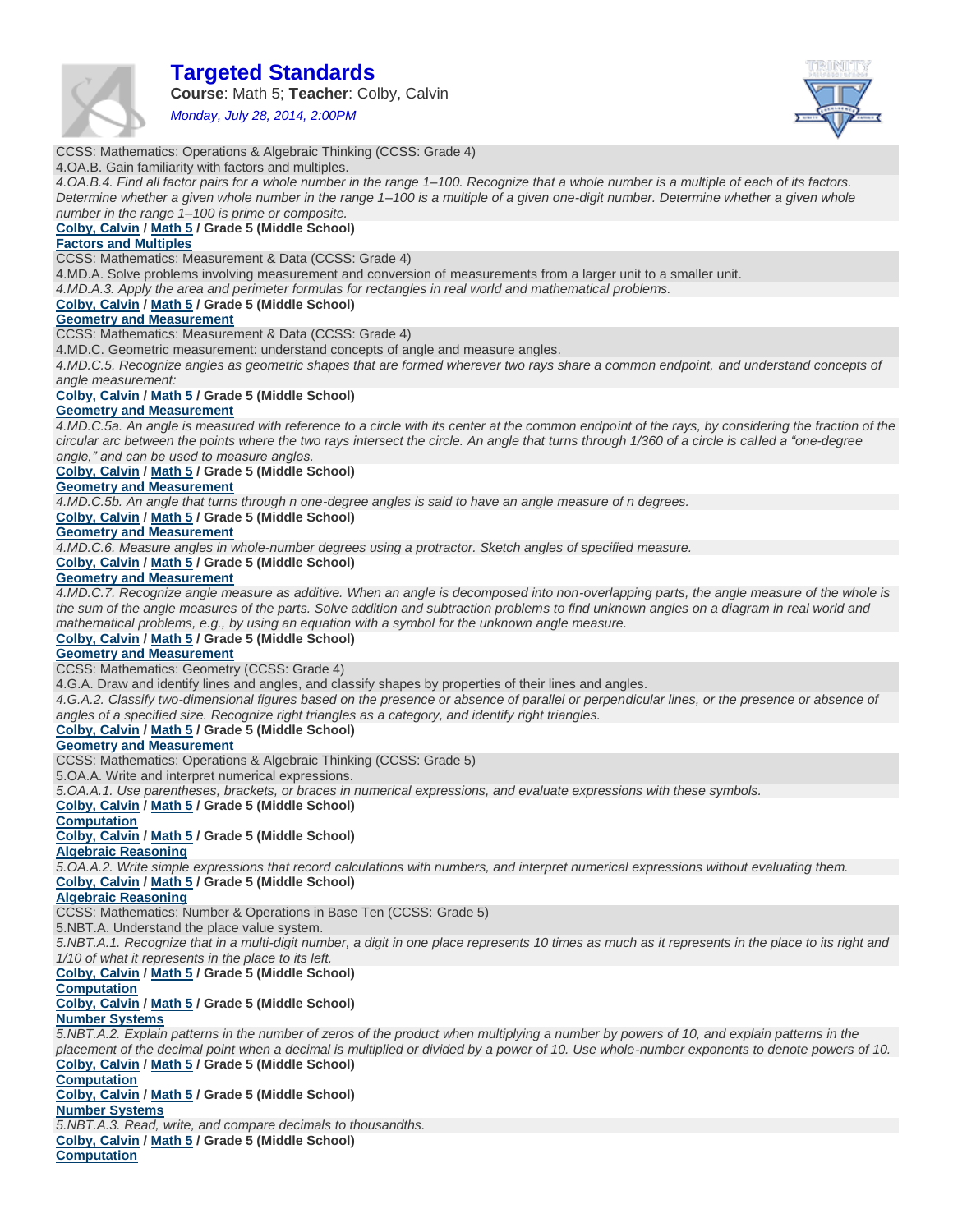

# **Targeted Standards**

**Course**: Math 5; **Teacher**: Colby, Calvin

*Monday, July 28, 2014, 2:00PM*



# CCSS: Mathematics: Operations & Algebraic Thinking (CCSS: Grade 4)

4.OA.B. Gain familiarity with factors and multiples.

*4.OA.B.4. Find all factor pairs for a whole number in the range 1–100. Recognize that a whole number is a multiple of each of its factors. Determine whether a given whole number in the range 1–100 is a multiple of a given one-digit number. Determine whether a given whole number in the range 1–100 is prime or composite.*

# **Colby, Calvin / Math 5 / Grade 5 (Middle School)**

# **Factors and Multiples**

CCSS: Mathematics: Measurement & Data (CCSS: Grade 4)

4.MD.A. Solve problems involving measurement and conversion of measurements from a larger unit to a smaller unit.

*4.MD.A.3. Apply the area and perimeter formulas for rectangles in real world and mathematical problems.*

**Colby, Calvin / Math 5 / Grade 5 (Middle School)**

### **Geometry and Measurement**

CCSS: Mathematics: Measurement & Data (CCSS: Grade 4)

4.MD.C. Geometric measurement: understand concepts of angle and measure angles.

*4.MD.C.5. Recognize angles as geometric shapes that are formed wherever two rays share a common endpoint, and understand concepts of angle measurement:*

### **Colby, Calvin / Math 5 / Grade 5 (Middle School)**

### **Geometry and Measurement**

4.MD.C.5a. An angle is measured with reference to a circle with its center at the common endpoint of the rays, by considering the fraction of the *circular arc between the points where the two rays intersect the circle. An angle that turns through 1/360 of a circle is called a "one-degree angle," and can be used to measure angles.*

**Colby, Calvin / Math 5 / Grade 5 (Middle School)**

### **Geometry and Measurement**

*4.MD.C.5b. An angle that turns through n one-degree angles is said to have an angle measure of n degrees.*

**Colby, Calvin / Math 5 / Grade 5 (Middle School)**

### **Geometry and Measurement**

*4.MD.C.6. Measure angles in whole-number degrees using a protractor. Sketch angles of specified measure.*

**Colby, Calvin / Math 5 / Grade 5 (Middle School)**

### **Geometry and Measurement**

*4.MD.C.7. Recognize angle measure as additive. When an angle is decomposed into non-overlapping parts, the angle measure of the whole is the sum of the angle measures of the parts. Solve addition and subtraction problems to find unknown angles on a diagram in real world and mathematical problems, e.g., by using an equation with a symbol for the unknown angle measure.*

## **Colby, Calvin / Math 5 / Grade 5 (Middle School)**

### **Geometry and Measurement**

CCSS: Mathematics: Geometry (CCSS: Grade 4)

4.G.A. Draw and identify lines and angles, and classify shapes by properties of their lines and angles.

4.G.A.2. Classify two-dimensional figures based on the presence or absence of parallel or perpendicular lines, or the presence or absence of *angles of a specified size. Recognize right triangles as a category, and identify right triangles.*

### **Colby, Calvin / Math 5 / Grade 5 (Middle School)**

### **Geometry and Measurement**

CCSS: Mathematics: Operations & Algebraic Thinking (CCSS: Grade 5)

5.OA.A. Write and interpret numerical expressions.

*5.OA.A.1. Use parentheses, brackets, or braces in numerical expressions, and evaluate expressions with these symbols.*

### **Colby, Calvin / Math 5 / Grade 5 (Middle School)**

**Computation**

### **Colby, Calvin / Math 5 / Grade 5 (Middle School)**

**Algebraic Reasoning**

*5.OA.A.2. Write simple expressions that record calculations with numbers, and interpret numerical expressions without evaluating them.*

# **Colby, Calvin / Math 5 / Grade 5 (Middle School)**

**Algebraic Reasoning**

CCSS: Mathematics: Number & Operations in Base Ten (CCSS: Grade 5)

5.NBT.A. Understand the place value system.

*5.NBT.A.1. Recognize that in a multi-digit number, a digit in one place represents 10 times as much as it represents in the place to its right and 1/10 of what it represents in the place to its left.*

# **Colby, Calvin / Math 5 / Grade 5 (Middle School)**

**Computation**

# **Colby, Calvin / Math 5 / Grade 5 (Middle School) Number Systems**

*5.NBT.A.2. Explain patterns in the number of zeros of the product when multiplying a number by powers of 10, and explain patterns in the placement of the decimal point when a decimal is multiplied or divided by a power of 10. Use whole-number exponents to denote powers of 10.* **Colby, Calvin / Math 5 / Grade 5 (Middle School)**

**Computation**

# **Colby, Calvin / Math 5 / Grade 5 (Middle School)**

**Number Systems**

*5.NBT.A.3. Read, write, and compare decimals to thousandths.*

**Colby, Calvin / Math 5 / Grade 5 (Middle School) Computation**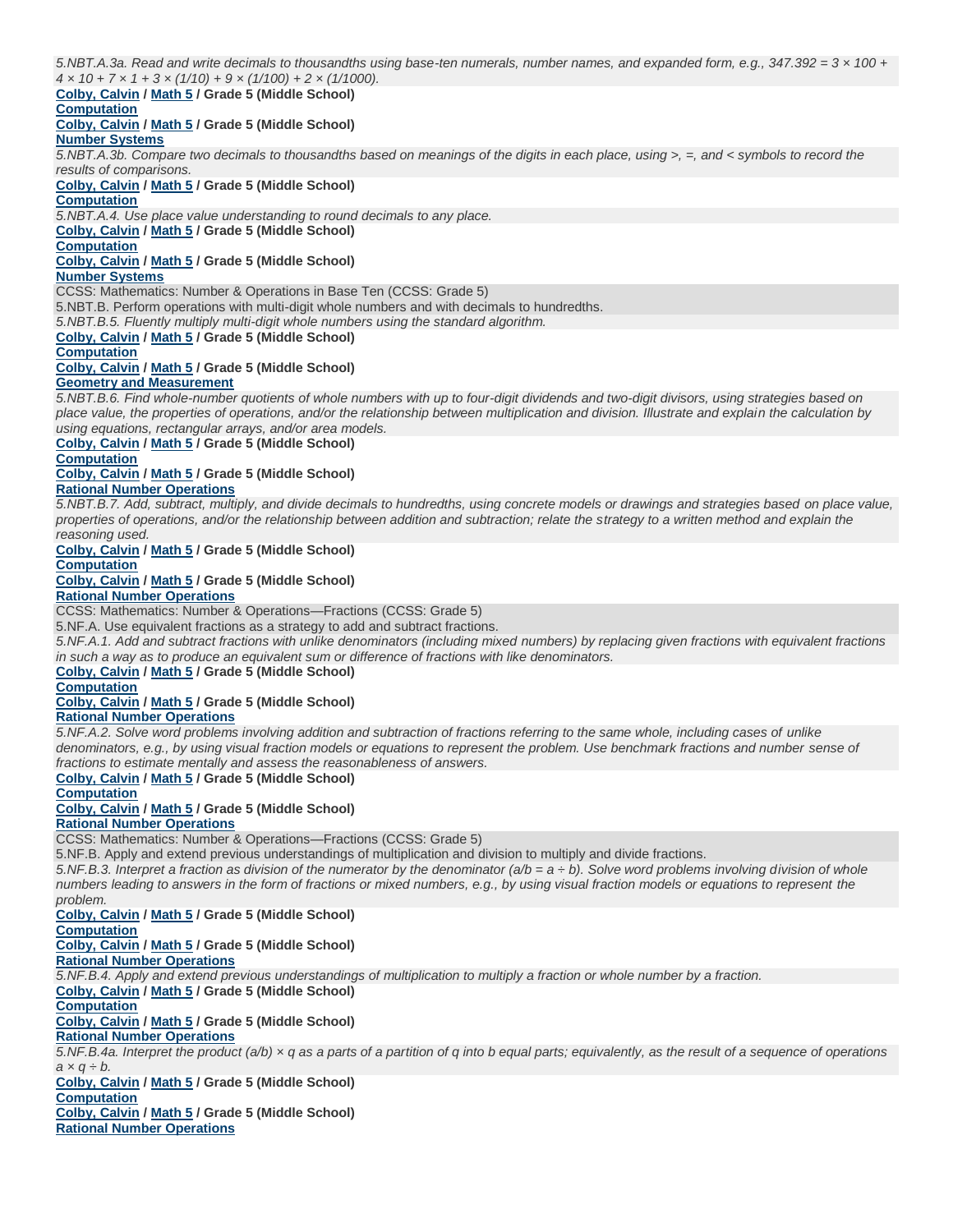*5.NBT.A.3a. Read and write decimals to thousandths using base-ten numerals, number names, and expanded form, e.g., 347.392 = 3 × 100 + 4 × 10 + 7 × 1 + 3 × (1/10) + 9 × (1/100) + 2 × (1/1000).*

# **Colby, Calvin / Math 5 / Grade 5 (Middle School)**

# **Computation**

**Colby, Calvin / Math 5 / Grade 5 (Middle School)**

# **Number Systems**

*5.NBT.A.3b. Compare two decimals to thousandths based on meanings of the digits in each place, using >, =, and < symbols to record the results of comparisons.*

### **Colby, Calvin / Math 5 / Grade 5 (Middle School)**

# **Computation**

*5.NBT.A.4. Use place value understanding to round decimals to any place.*

### **Colby, Calvin / Math 5 / Grade 5 (Middle School)**

**Computation**

**Colby, Calvin / Math 5 / Grade 5 (Middle School)**

### **Number Systems**

CCSS: Mathematics: Number & Operations in Base Ten (CCSS: Grade 5)

5.NBT.B. Perform operations with multi-digit whole numbers and with decimals to hundredths.

*5.NBT.B.5. Fluently multiply multi-digit whole numbers using the standard algorithm.*

### **Colby, Calvin / Math 5 / Grade 5 (Middle School)**

### **Computation**

**Colby, Calvin / Math 5 / Grade 5 (Middle School)**

# **Geometry and Measurement**

*5.NBT.B.6. Find whole-number quotients of whole numbers with up to four-digit dividends and two-digit divisors, using strategies based on place value, the properties of operations, and/or the relationship between multiplication and division. Illustrate and explain the calculation by using equations, rectangular arrays, and/or area models.*

### **Colby, Calvin / Math 5 / Grade 5 (Middle School)**

**Computation**

**Colby, Calvin / Math 5 / Grade 5 (Middle School)**

### **Rational Number Operations**

*5.NBT.B.7. Add, subtract, multiply, and divide decimals to hundredths, using concrete models or drawings and strategies based on place value, properties of operations, and/or the relationship between addition and subtraction; relate the strategy to a written method and explain the reasoning used.*

# **Colby, Calvin / Math 5 / Grade 5 (Middle School)**

### **Computation**

### **Colby, Calvin / Math 5 / Grade 5 (Middle School)**

**Rational Number Operations**

CCSS: Mathematics: Number & Operations—Fractions (CCSS: Grade 5)

5.NF.A. Use equivalent fractions as a strategy to add and subtract fractions.

*5.NF.A.1. Add and subtract fractions with unlike denominators (including mixed numbers) by replacing given fractions with equivalent fractions in such a way as to produce an equivalent sum or difference of fractions with like denominators.*

# **Colby, Calvin / Math 5 / Grade 5 (Middle School)**

# **Computation**

**Colby, Calvin / Math 5 / Grade 5 (Middle School)**

# **Rational Number Operations**

*5.NF.A.2. Solve word problems involving addition and subtraction of fractions referring to the same whole, including cases of unlike denominators, e.g., by using visual fraction models or equations to represent the problem. Use benchmark fractions and number sense of fractions to estimate mentally and assess the reasonableness of answers.*

# **Colby, Calvin / Math 5 / Grade 5 (Middle School)**

**Computation**

## **Colby, Calvin / Math 5 / Grade 5 (Middle School)**

### **Rational Number Operations**

CCSS: Mathematics: Number & Operations—Fractions (CCSS: Grade 5)

5.NF.B. Apply and extend previous understandings of multiplication and division to multiply and divide fractions.

*5.NF.B.3. Interpret a fraction as division of the numerator by the denominator (a/b = a ÷ b). Solve word problems involving division of whole numbers leading to answers in the form of fractions or mixed numbers, e.g., by using visual fraction models or equations to represent the problem.*

**Colby, Calvin / Math 5 / Grade 5 (Middle School) Computation**

**Colby, Calvin / Math 5 / Grade 5 (Middle School)**

# **Rational Number Operations**

*5.NF.B.4. Apply and extend previous understandings of multiplication to multiply a fraction or whole number by a fraction.*

**Colby, Calvin / Math 5 / Grade 5 (Middle School)**

# **Computation**

**Colby, Calvin / Math 5 / Grade 5 (Middle School)**

# **Rational Number Operations**

*5.NF.B.4a. Interpret the product (a/b) × q as a parts of a partition of q into b equal parts; equivalently, as the result of a sequence of operations a × q ÷ b.*

### **Colby, Calvin / Math 5 / Grade 5 (Middle School) Computation**

**Colby, Calvin / Math 5 / Grade 5 (Middle School) Rational Number Operations**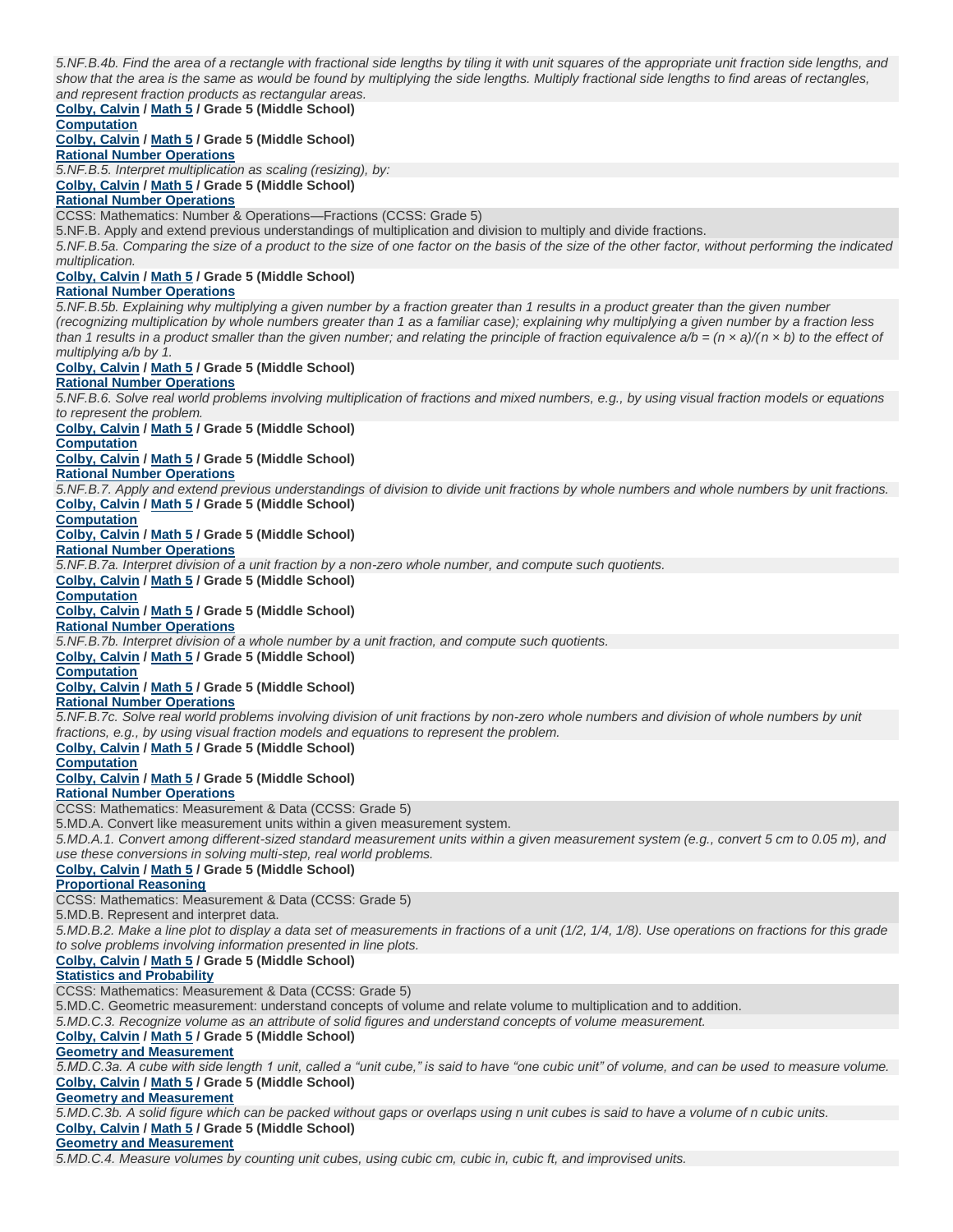*5.NF.B.4b. Find the area of a rectangle with fractional side lengths by tiling it with unit squares of the appropriate unit fraction side lengths, and show that the area is the same as would be found by multiplying the side lengths. Multiply fractional side lengths to find areas of rectangles, and represent fraction products as rectangular areas.* **Colby, Calvin / Math 5 / Grade 5 (Middle School) Computation Colby, Calvin / Math 5 / Grade 5 (Middle School) Rational Number Operations** *5.NF.B.5. Interpret multiplication as scaling (resizing), by:* **Colby, Calvin / Math 5 / Grade 5 (Middle School) Rational Number Operations** CCSS: Mathematics: Number & Operations—Fractions (CCSS: Grade 5) 5.NF.B. Apply and extend previous understandings of multiplication and division to multiply and divide fractions. *5.NF.B.5a. Comparing the size of a product to the size of one factor on the basis of the size of the other factor, without performing the indicated multiplication.* **Colby, Calvin / Math 5 / Grade 5 (Middle School) Rational Number Operations** *5.NF.B.5b. Explaining why multiplying a given number by a fraction greater than 1 results in a product greater than the given number (recognizing multiplication by whole numbers greater than 1 as a familiar case); explaining why multiplying a given number by a fraction less than 1 results in a product smaller than the given number; and relating the principle of fraction equivalence*  $a/b = (n \times a)/(n \times b)$  *to the effect of multiplying a/b by 1.* **Colby, Calvin / Math 5 / Grade 5 (Middle School) Rational Number Operations** *5.NF.B.6. Solve real world problems involving multiplication of fractions and mixed numbers, e.g., by using visual fraction models or equations to represent the problem.* **Colby, Calvin / Math 5 / Grade 5 (Middle School) Computation Colby, Calvin / Math 5 / Grade 5 (Middle School) Rational Number Operations** *5.NF.B.7. Apply and extend previous understandings of division to divide unit fractions by whole numbers and whole numbers by unit fractions.* **Colby, Calvin / Math 5 / Grade 5 (Middle School) Computation Colby, Calvin / Math 5 / Grade 5 (Middle School) Rational Number Operations** *5.NF.B.7a. Interpret division of a unit fraction by a non-zero whole number, and compute such quotients.* **Colby, Calvin / Math 5 / Grade 5 (Middle School) Computation Colby, Calvin / Math 5 / Grade 5 (Middle School) Rational Number Operations** *5.NF.B.7b. Interpret division of a whole number by a unit fraction, and compute such quotients.* **Colby, Calvin / Math 5 / Grade 5 (Middle School) Computation Colby, Calvin / Math 5 / Grade 5 (Middle School) Rational Number Operations** *5.NF.B.7c. Solve real world problems involving division of unit fractions by non-zero whole numbers and division of whole numbers by unit fractions, e.g., by using visual fraction models and equations to represent the problem.* **Colby, Calvin / Math 5 / Grade 5 (Middle School) Computation Colby, Calvin / Math 5 / Grade 5 (Middle School) Rational Number Operations** CCSS: Mathematics: Measurement & Data (CCSS: Grade 5) 5.MD.A. Convert like measurement units within a given measurement system. *5.MD.A.1. Convert among different-sized standard measurement units within a given measurement system (e.g., convert 5 cm to 0.05 m), and use these conversions in solving multi-step, real world problems.* **Colby, Calvin / Math 5 / Grade 5 (Middle School) Proportional Reasoning** CCSS: Mathematics: Measurement & Data (CCSS: Grade 5) 5.MD.B. Represent and interpret data. *5.MD.B.2. Make a line plot to display a data set of measurements in fractions of a unit (1/2, 1/4, 1/8). Use operations on fractions for this grade to solve problems involving information presented in line plots.* **Colby, Calvin / Math 5 / Grade 5 (Middle School) Statistics and Probability** CCSS: Mathematics: Measurement & Data (CCSS: Grade 5) 5.MD.C. Geometric measurement: understand concepts of volume and relate volume to multiplication and to addition. *5.MD.C.3. Recognize volume as an attribute of solid figures and understand concepts of volume measurement.* **Colby, Calvin / Math 5 / Grade 5 (Middle School) Geometry and Measurement** *5.MD.C.3a. A cube with side length 1 unit, called a "unit cube," is said to have "one cubic unit" of volume, and can be used to measure volume.* **Colby, Calvin / Math 5 / Grade 5 (Middle School) Geometry and Measurement** *5.MD.C.3b. A solid figure which can be packed without gaps or overlaps using n unit cubes is said to have a volume of n cubic units.* **Colby, Calvin / Math 5 / Grade 5 (Middle School)**

**Geometry and Measurement**

*5.MD.C.4. Measure volumes by counting unit cubes, using cubic cm, cubic in, cubic ft, and improvised units.*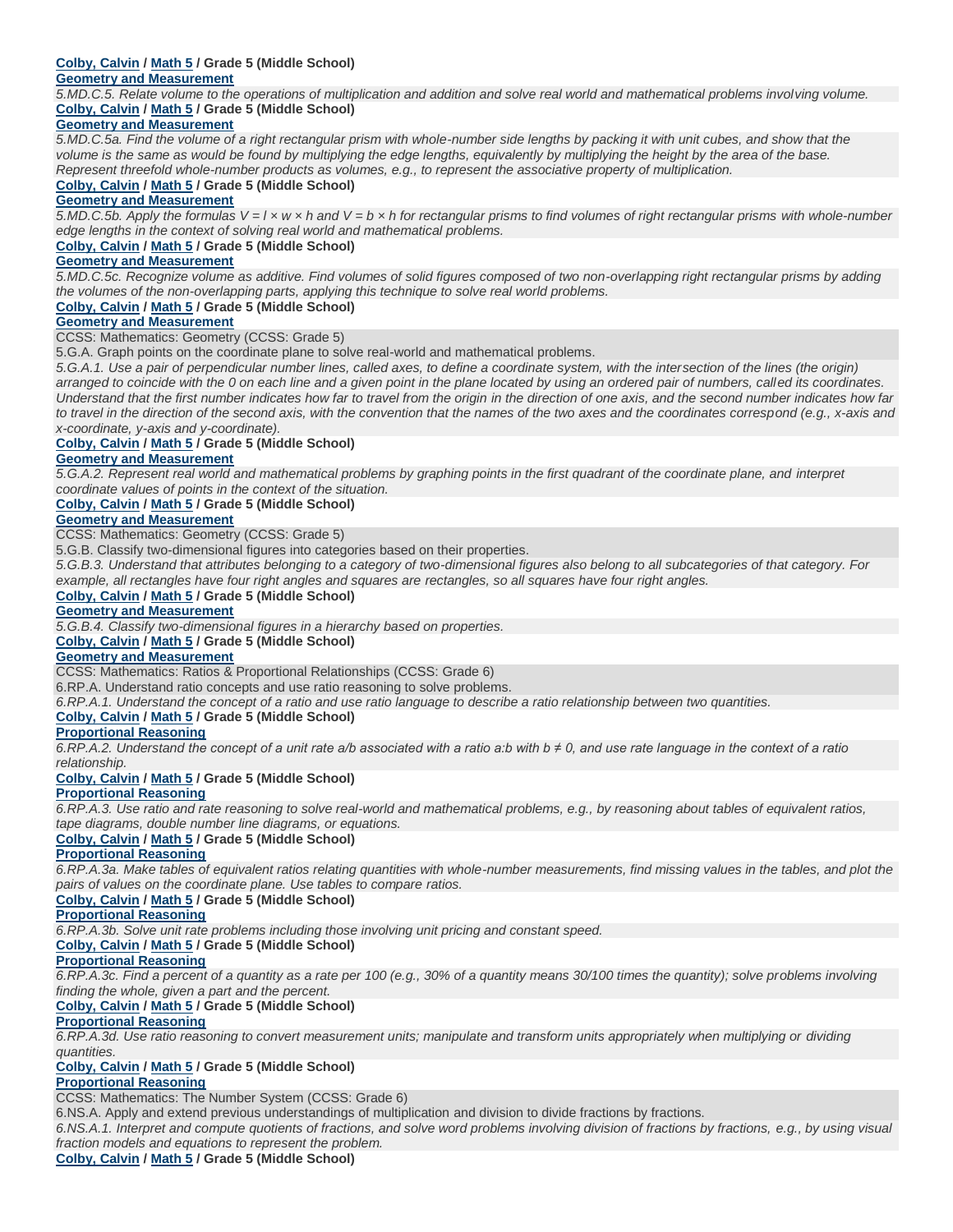# **Colby, Calvin / Math 5 / Grade 5 (Middle School)**

## **Geometry and Measurement**

*5.MD.C.5. Relate volume to the operations of multiplication and addition and solve real world and mathematical problems involving volume.* **Colby, Calvin / Math 5 / Grade 5 (Middle School)**

## **Geometry and Measurement**

*5.MD.C.5a. Find the volume of a right rectangular prism with whole-number side lengths by packing it with unit cubes, and show that the volume is the same as would be found by multiplying the edge lengths, equivalently by multiplying the height by the area of the base. Represent threefold whole-number products as volumes, e.g., to represent the associative property of multiplication.*

### **Colby, Calvin / Math 5 / Grade 5 (Middle School)**

### **Geometry and Measurement**

*5.MD.C.5b. Apply the formulas V = l × w × h and V = b × h for rectangular prisms to find volumes of right rectangular prisms with whole-number edge lengths in the context of solving real world and mathematical problems.*

# **Colby, Calvin / Math 5 / Grade 5 (Middle School)**

### **Geometry and Measurement**

*5.MD.C.5c. Recognize volume as additive. Find volumes of solid figures composed of two non-overlapping right rectangular prisms by adding the volumes of the non-overlapping parts, applying this technique to solve real world problems.*

# **Colby, Calvin / Math 5 / Grade 5 (Middle School)**

## **Geometry and Measurement**

CCSS: Mathematics: Geometry (CCSS: Grade 5)

5.G.A. Graph points on the coordinate plane to solve real-world and mathematical problems.

*5.G.A.1. Use a pair of perpendicular number lines, called axes, to define a coordinate system, with the intersection of the lines (the origin) arranged to coincide with the 0 on each line and a given point in the plane located by using an ordered pair of numbers, called its coordinates. Understand that the first number indicates how far to travel from the origin in the direction of one axis, and the second number indicates how far to travel in the direction of the second axis, with the convention that the names of the two axes and the coordinates correspond (e.g., x-axis and x-coordinate, y-axis and y-coordinate).*

## **Colby, Calvin / Math 5 / Grade 5 (Middle School)**

### **Geometry and Measurement**

*5.G.A.2. Represent real world and mathematical problems by graphing points in the first quadrant of the coordinate plane, and interpret coordinate values of points in the context of the situation.*

### **Colby, Calvin / Math 5 / Grade 5 (Middle School)**

### **Geometry and Measurement**

CCSS: Mathematics: Geometry (CCSS: Grade 5)

5.G.B. Classify two-dimensional figures into categories based on their properties.

*5.G.B.3. Understand that attributes belonging to a category of two-dimensional figures also belong to all subcategories of that category. For example, all rectangles have four right angles and squares are rectangles, so all squares have four right angles.*

### **Colby, Calvin / Math 5 / Grade 5 (Middle School)**

### **Geometry and Measurement**

*5.G.B.4. Classify two-dimensional figures in a hierarchy based on properties.*

# **Colby, Calvin / Math 5 / Grade 5 (Middle School)**

## **Geometry and Measurement**

CCSS: Mathematics: Ratios & Proportional Relationships (CCSS: Grade 6)

6.RP.A. Understand ratio concepts and use ratio reasoning to solve problems.

*6.RP.A.1. Understand the concept of a ratio and use ratio language to describe a ratio relationship between two quantities.*

# **Colby, Calvin / Math 5 / Grade 5 (Middle School)**

# **Proportional Reasoning**

*6.RP.A.2. Understand the concept of a unit rate a/b associated with a ratio a:b with b ≠ 0, and use rate language in the context of a ratio relationship.*

### **Colby, Calvin / Math 5 / Grade 5 (Middle School)**

# **Proportional Reasoning**

*6.RP.A.3. Use ratio and rate reasoning to solve real-world and mathematical problems, e.g., by reasoning about tables of equivalent ratios, tape diagrams, double number line diagrams, or equations.*

**Colby, Calvin / Math 5 / Grade 5 (Middle School)**

### **Proportional Reasoning**

*6.RP.A.3a. Make tables of equivalent ratios relating quantities with whole-number measurements, find missing values in the tables, and plot the pairs of values on the coordinate plane. Use tables to compare ratios.*

### **Colby, Calvin / Math 5 / Grade 5 (Middle School)**

### **Proportional Reasoning**

*6.RP.A.3b. Solve unit rate problems including those involving unit pricing and constant speed.*

**Colby, Calvin / Math 5 / Grade 5 (Middle School)**

### **Proportional Reasoning**

*6.RP.A.3c. Find a percent of a quantity as a rate per 100 (e.g., 30% of a quantity means 30/100 times the quantity); solve problems involving finding the whole, given a part and the percent.*

### **Colby, Calvin / Math 5 / Grade 5 (Middle School)**

### **Proportional Reasoning**

*6.RP.A.3d. Use ratio reasoning to convert measurement units; manipulate and transform units appropriately when multiplying or dividing quantities.*

# **Colby, Calvin / Math 5 / Grade 5 (Middle School)**

# **Proportional Reasoning**

CCSS: Mathematics: The Number System (CCSS: Grade 6)

6.NS.A. Apply and extend previous understandings of multiplication and division to divide fractions by fractions.

*6.NS.A.1. Interpret and compute quotients of fractions, and solve word problems involving division of fractions by fractions, e.g., by using visual fraction models and equations to represent the problem.*

**Colby, Calvin / Math 5 / Grade 5 (Middle School)**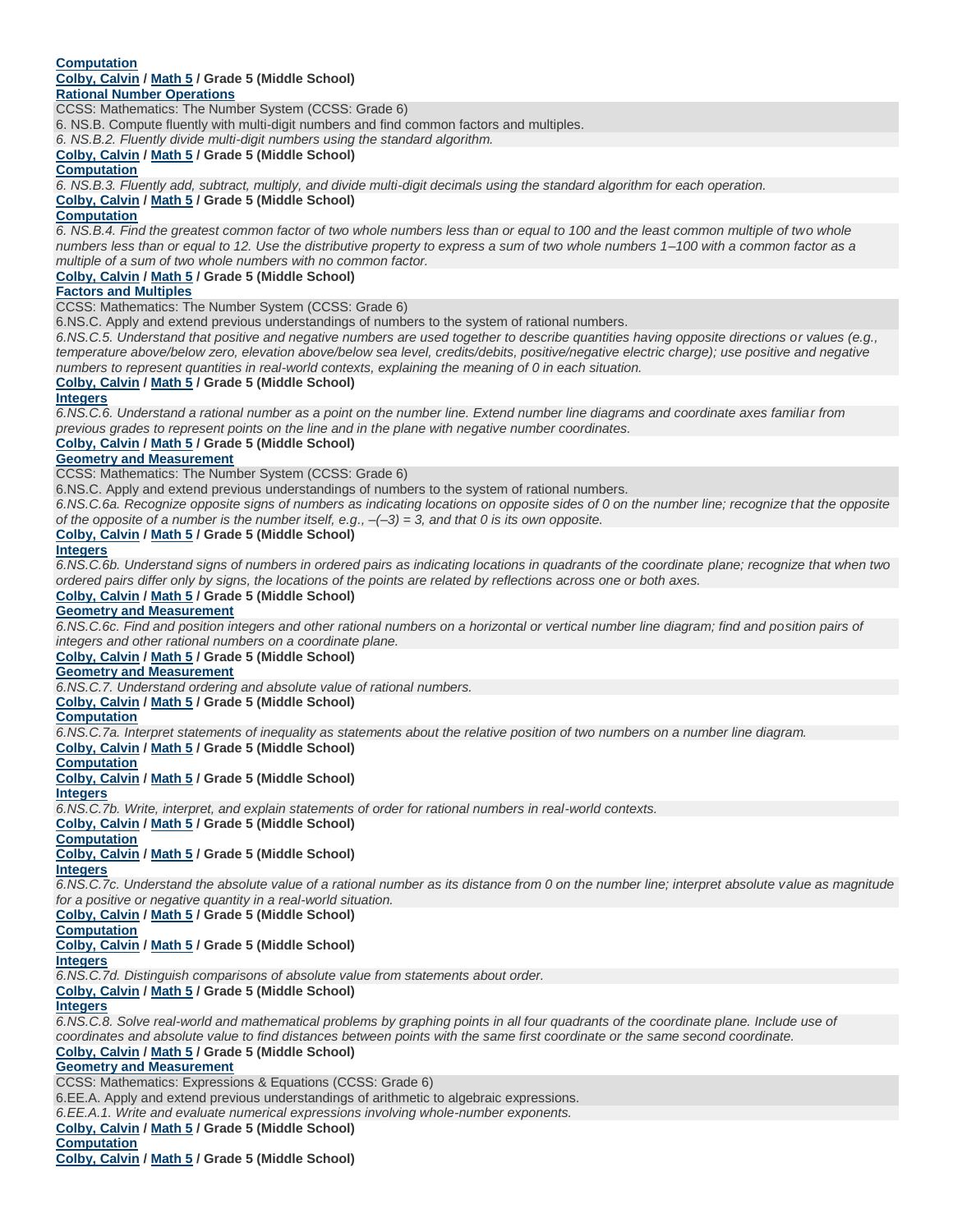### **Computation Colby, Calvin / Math 5 / Grade 5 (Middle School) Rational Number Operations**

CCSS: Mathematics: The Number System (CCSS: Grade 6)

6. NS.B. Compute fluently with multi-digit numbers and find common factors and multiples.

*6. NS.B.2. Fluently divide multi-digit numbers using the standard algorithm.*

# **Colby, Calvin / Math 5 / Grade 5 (Middle School)**

### **Computation**

*6. NS.B.3. Fluently add, subtract, multiply, and divide multi-digit decimals using the standard algorithm for each operation.*

### **Colby, Calvin / Math 5 / Grade 5 (Middle School)**

### **Computation**

*6. NS.B.4. Find the greatest common factor of two whole numbers less than or equal to 100 and the least common multiple of two whole numbers less than or equal to 12. Use the distributive property to express a sum of two whole numbers 1–100 with a common factor as a multiple of a sum of two whole numbers with no common factor.*

# **Colby, Calvin / Math 5 / Grade 5 (Middle School)**

### **Factors and Multiples**

CCSS: Mathematics: The Number System (CCSS: Grade 6)

6.NS.C. Apply and extend previous understandings of numbers to the system of rational numbers.

*6.NS.C.5. Understand that positive and negative numbers are used together to describe quantities having opposite directions or values (e.g., temperature above/below zero, elevation above/below sea level, credits/debits, positive/negative electric charge); use positive and negative numbers to represent quantities in real-world contexts, explaining the meaning of 0 in each situation.*

# **Colby, Calvin / Math 5 / Grade 5 (Middle School)**

### **Integers**

*6.NS.C.6. Understand a rational number as a point on the number line. Extend number line diagrams and coordinate axes familiar from previous grades to represent points on the line and in the plane with negative number coordinates.*

### **Colby, Calvin / Math 5 / Grade 5 (Middle School)**

## **Geometry and Measurement**

CCSS: Mathematics: The Number System (CCSS: Grade 6)

6.NS.C. Apply and extend previous understandings of numbers to the system of rational numbers.

6.NS.C.6a. Recognize opposite signs of numbers as indicating locations on opposite sides of 0 on the number line; recognize that the opposite *of the opposite of a number is the number itself, e.g., –(–3) = 3, and that 0 is its own opposite.*

### **Colby, Calvin / Math 5 / Grade 5 (Middle School)**

### **Integers**

*6.NS.C.6b. Understand signs of numbers in ordered pairs as indicating locations in quadrants of the coordinate plane; recognize that when two ordered pairs differ only by signs, the locations of the points are related by reflections across one or both axes.*

# **Colby, Calvin / Math 5 / Grade 5 (Middle School)**

### **Geometry and Measurement**

*6.NS.C.6c. Find and position integers and other rational numbers on a horizontal or vertical number line diagram; find and position pairs of integers and other rational numbers on a coordinate plane.*

### **Colby, Calvin / Math 5 / Grade 5 (Middle School)**

### **Geometry and Measurement**

*6.NS.C.7. Understand ordering and absolute value of rational numbers.*

**Colby, Calvin / Math 5 / Grade 5 (Middle School)**

### **Computation**

*6.NS.C.7a. Interpret statements of inequality as statements about the relative position of two numbers on a number line diagram.*

**Colby, Calvin / Math 5 / Grade 5 (Middle School)**

**Computation Colby, Calvin / Math 5 / Grade 5 (Middle School)**

# **Integers**

*6.NS.C.7b. Write, interpret, and explain statements of order for rational numbers in real-world contexts.*

**Colby, Calvin / Math 5 / Grade 5 (Middle School)**

# **Computation**

**Colby, Calvin / Math 5 / Grade 5 (Middle School)**

### **Integers**

*6.NS.C.7c. Understand the absolute value of a rational number as its distance from 0 on the number line; interpret absolute value as magnitude for a positive or negative quantity in a real-world situation.*

**Colby, Calvin / Math 5 / Grade 5 (Middle School)**

**Computation**

### **Colby, Calvin / Math 5 / Grade 5 (Middle School)**

**Integers**

*6.NS.C.7d. Distinguish comparisons of absolute value from statements about order.*

**Colby, Calvin / Math 5 / Grade 5 (Middle School)**

# **Integers**

*6.NS.C.8. Solve real-world and mathematical problems by graphing points in all four quadrants of the coordinate plane. Include use of coordinates and absolute value to find distances between points with the same first coordinate or the same second coordinate.*

# **Colby, Calvin / Math 5 / Grade 5 (Middle School)**

**Geometry and Measurement**

CCSS: Mathematics: Expressions & Equations (CCSS: Grade 6)

6.EE.A. Apply and extend previous understandings of arithmetic to algebraic expressions.

*6.EE.A.1. Write and evaluate numerical expressions involving whole-number exponents.*

**Colby, Calvin / Math 5 / Grade 5 (Middle School)**

### **Computation**

**Colby, Calvin / Math 5 / Grade 5 (Middle School)**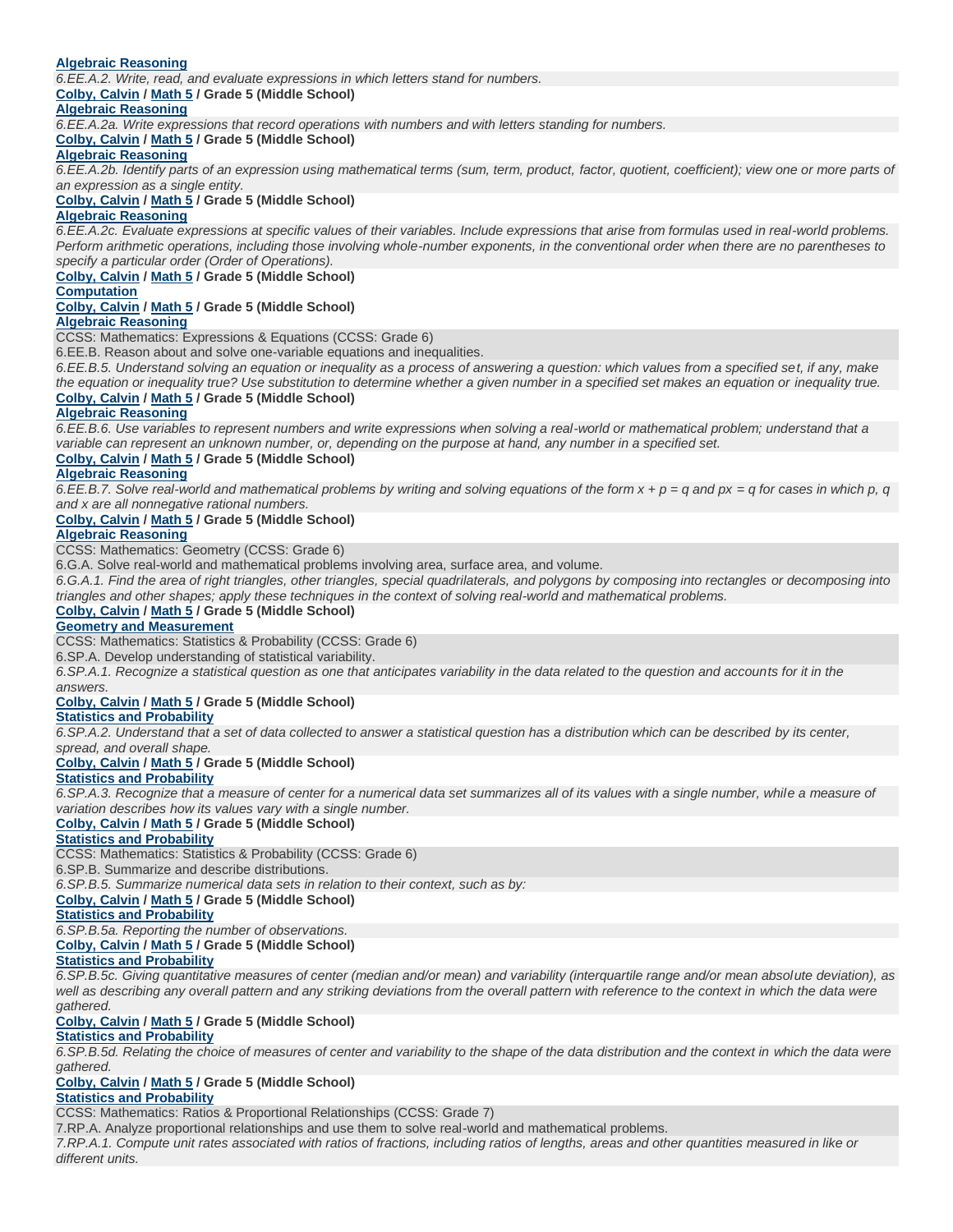## **Algebraic Reasoning**

*6.EE.A.2. Write, read, and evaluate expressions in which letters stand for numbers.*

**Colby, Calvin / Math 5 / Grade 5 (Middle School)**

## **Algebraic Reasoning**

*6.EE.A.2a. Write expressions that record operations with numbers and with letters standing for numbers.*

# **Colby, Calvin / Math 5 / Grade 5 (Middle School)**

### **Algebraic Reasoning**

*6.EE.A.2b. Identify parts of an expression using mathematical terms (sum, term, product, factor, quotient, coefficient); view one or more parts of an expression as a single entity.*

### **Colby, Calvin / Math 5 / Grade 5 (Middle School)**

### **Algebraic Reasoning**

*6.EE.A.2c. Evaluate expressions at specific values of their variables. Include expressions that arise from formulas used in real-world problems. Perform arithmetic operations, including those involving whole-number exponents, in the conventional order when there are no parentheses to specify a particular order (Order of Operations).*

# **Colby, Calvin / Math 5 / Grade 5 (Middle School)**

### **Computation**

**Colby, Calvin / Math 5 / Grade 5 (Middle School)**

### **Algebraic Reasoning**

CCSS: Mathematics: Expressions & Equations (CCSS: Grade 6)

6.EE.B. Reason about and solve one-variable equations and inequalities.

*6.EE.B.5. Understand solving an equation or inequality as a process of answering a question: which values from a specified set, if any, make the equation or inequality true? Use substitution to determine whether a given number in a specified set makes an equation or inequality true.* **Colby, Calvin / Math 5 / Grade 5 (Middle School)**

### **Algebraic Reasoning**

*6.EE.B.6. Use variables to represent numbers and write expressions when solving a real-world or mathematical problem; understand that a variable can represent an unknown number, or, depending on the purpose at hand, any number in a specified set.*

### **Colby, Calvin / Math 5 / Grade 5 (Middle School)**

### **Algebraic Reasoning**

*6.EE.B.7. Solve real-world and mathematical problems by writing and solving equations of the form x + p = q and px = q for cases in which p, q and x are all nonnegative rational numbers.*

## **Colby, Calvin / Math 5 / Grade 5 (Middle School)**

### **Algebraic Reasoning**

CCSS: Mathematics: Geometry (CCSS: Grade 6)

6.G.A. Solve real-world and mathematical problems involving area, surface area, and volume.

*6.G.A.1. Find the area of right triangles, other triangles, special quadrilaterals, and polygons by composing into rectangles or decomposing into triangles and other shapes; apply these techniques in the context of solving real-world and mathematical problems.*

## **Colby, Calvin / Math 5 / Grade 5 (Middle School)**

### **Geometry and Measurement**

CCSS: Mathematics: Statistics & Probability (CCSS: Grade 6)

6.SP.A. Develop understanding of statistical variability.

*6.SP.A.1. Recognize a statistical question as one that anticipates variability in the data related to the question and accounts for it in the answers.*

# **Colby, Calvin / Math 5 / Grade 5 (Middle School)**

# **Statistics and Probability**

*6.SP.A.2. Understand that a set of data collected to answer a statistical question has a distribution which can be described by its center, spread, and overall shape.*

### **Colby, Calvin / Math 5 / Grade 5 (Middle School)**

### **Statistics and Probability**

6.SP.A.3. Recognize that a measure of center for a numerical data set summarizes all of its values with a single number, while a measure of *variation describes how its values vary with a single number.*

### **Colby, Calvin / Math 5 / Grade 5 (Middle School)**

# **Statistics and Probability**

CCSS: Mathematics: Statistics & Probability (CCSS: Grade 6)

6.SP.B. Summarize and describe distributions.

*6.SP.B.5. Summarize numerical data sets in relation to their context, such as by:*

## **Colby, Calvin / Math 5 / Grade 5 (Middle School)**

**Statistics and Probability**

*6.SP.B.5a. Reporting the number of observations.*

# **Colby, Calvin / Math 5 / Grade 5 (Middle School)**

## **Statistics and Probability**

*6.SP.B.5c. Giving quantitative measures of center (median and/or mean) and variability (interquartile range and/or mean absolute deviation), as*  well as describing any overall pattern and any striking deviations from the overall pattern with reference to the context in which the data were *gathered.*

### **Colby, Calvin / Math 5 / Grade 5 (Middle School) Statistics and Probability**

*6.SP.B.5d. Relating the choice of measures of center and variability to the shape of the data distribution and the context in which the data were gathered.*

# **Colby, Calvin / Math 5 / Grade 5 (Middle School)**

# **Statistics and Probability**

CCSS: Mathematics: Ratios & Proportional Relationships (CCSS: Grade 7)

7.RP.A. Analyze proportional relationships and use them to solve real-world and mathematical problems.

*7.RP.A.1. Compute unit rates associated with ratios of fractions, including ratios of lengths, areas and other quantities measured in like or different units.*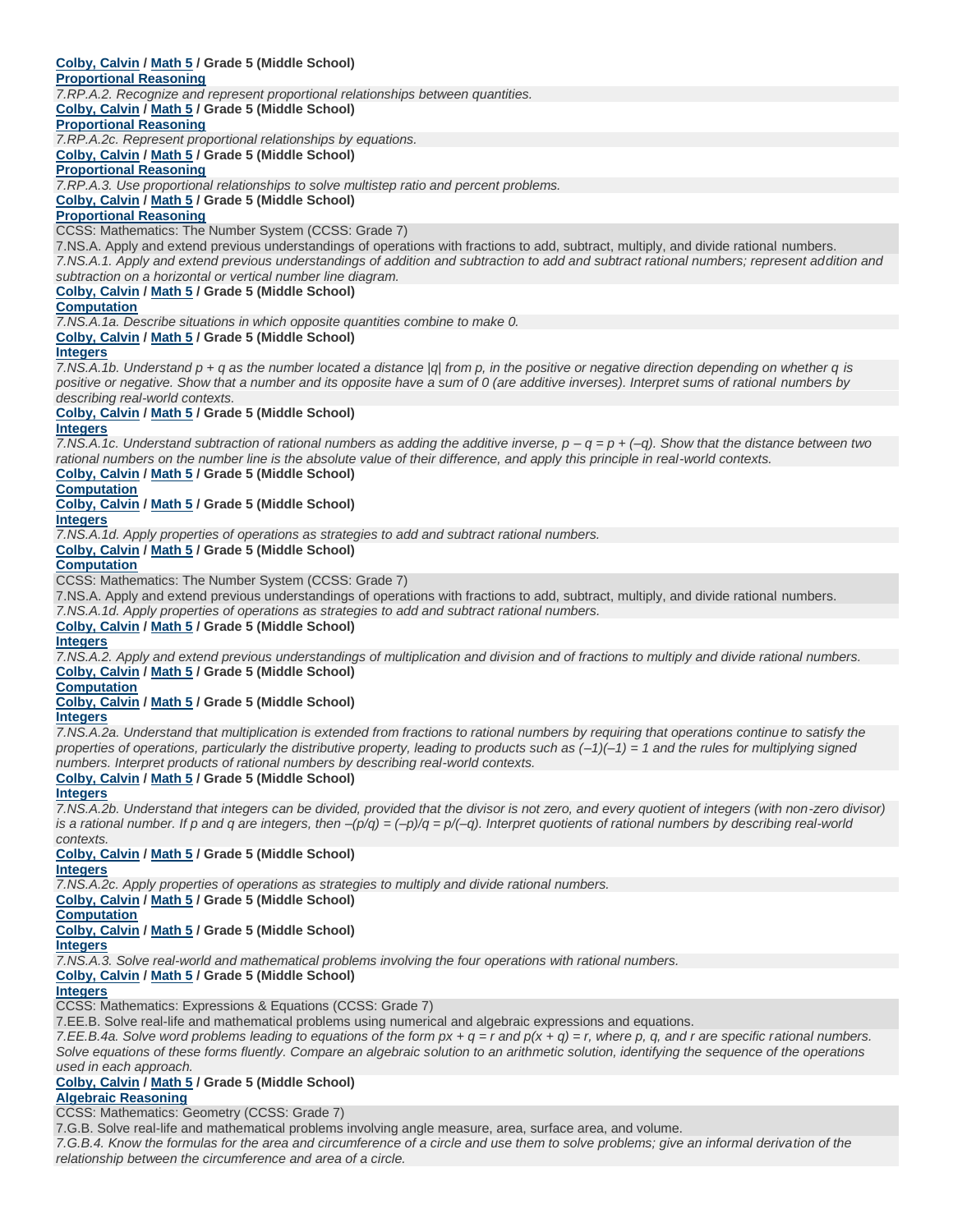# **Colby, Calvin / Math 5 / Grade 5 (Middle School)**

## **Proportional Reasoning**

*7.RP.A.2. Recognize and represent proportional relationships between quantities.*

**Colby, Calvin / Math 5 / Grade 5 (Middle School)**

## **Proportional Reasoning**

*7.RP.A.2c. Represent proportional relationships by equations.*

**Colby, Calvin / Math 5 / Grade 5 (Middle School)**

### **Proportional Reasoning**

*7.RP.A.3. Use proportional relationships to solve multistep ratio and percent problems.*

**Colby, Calvin / Math 5 / Grade 5 (Middle School)**

### **Proportional Reasoning**

CCSS: Mathematics: The Number System (CCSS: Grade 7)

7.NS.A. Apply and extend previous understandings of operations with fractions to add, subtract, multiply, and divide rational numbers. *7.NS.A.1. Apply and extend previous understandings of addition and subtraction to add and subtract rational numbers; represent addition and subtraction on a horizontal or vertical number line diagram.*

### **Colby, Calvin / Math 5 / Grade 5 (Middle School)**

**Computation**

*7.NS.A.1a. Describe situations in which opposite quantities combine to make 0.*

### **Colby, Calvin / Math 5 / Grade 5 (Middle School)**

### **Integers**

*7.NS.A.1b. Understand p + q as the number located a distance |q| from p, in the positive or negative direction depending on whether q is positive or negative. Show that a number and its opposite have a sum of 0 (are additive inverses). Interpret sums of rational numbers by describing real-world contexts.*

# **Colby, Calvin / Math 5 / Grade 5 (Middle School)**

## **Integers**

*7.NS.A.1c. Understand subtraction of rational numbers as adding the additive inverse, p – q = p + (–q). Show that the distance between two rational numbers on the number line is the absolute value of their difference, and apply this principle in real-world contexts.*

**Colby, Calvin / Math 5 / Grade 5 (Middle School) Computation**

**Colby, Calvin / Math 5 / Grade 5 (Middle School)**

### **Integers**

*7.NS.A.1d. Apply properties of operations as strategies to add and subtract rational numbers.*

**Colby, Calvin / Math 5 / Grade 5 (Middle School)**

### **Computation**

CCSS: Mathematics: The Number System (CCSS: Grade 7)

7.NS.A. Apply and extend previous understandings of operations with fractions to add, subtract, multiply, and divide rational numbers.

*7.NS.A.1d. Apply properties of operations as strategies to add and subtract rational numbers.*

### **Colby, Calvin / Math 5 / Grade 5 (Middle School)**

# **Integers**

*7.NS.A.2. Apply and extend previous understandings of multiplication and division and of fractions to multiply and divide rational numbers.* **Colby, Calvin / Math 5 / Grade 5 (Middle School)**

### **Computation**

### **Colby, Calvin / Math 5 / Grade 5 (Middle School)**

### **Integers**

*7.NS.A.2a. Understand that multiplication is extended from fractions to rational numbers by requiring that operations continue to satisfy the properties of operations, particularly the distributive property, leading to products such as (–1)(–1) = 1 and the rules for multiplying signed numbers. Interpret products of rational numbers by describing real-world contexts.*

### **Colby, Calvin / Math 5 / Grade 5 (Middle School)**

### **Integers**

*7.NS.A.2b. Understand that integers can be divided, provided that the divisor is not zero, and every quotient of integers (with non-zero divisor) is a rational number. If p and q are integers, then –(p/q) = (–p)/q = p/(–q). Interpret quotients of rational numbers by describing real-world contexts.*

# **Colby, Calvin / Math 5 / Grade 5 (Middle School)**

**Integers**

*7.NS.A.2c. Apply properties of operations as strategies to multiply and divide rational numbers.*

### **Colby, Calvin / Math 5 / Grade 5 (Middle School)**

**Computation Colby, Calvin / Math 5 / Grade 5 (Middle School)**

# **Integers**

*7.NS.A.3. Solve real-world and mathematical problems involving the four operations with rational numbers.*

# **Colby, Calvin / Math 5 / Grade 5 (Middle School)**

### **Integers**

CCSS: Mathematics: Expressions & Equations (CCSS: Grade 7)

7.EE.B. Solve real-life and mathematical problems using numerical and algebraic expressions and equations.

*7.EE.B.4a. Solve word problems leading to equations of the form px + q = r and p(x + q) = r, where p, q, and r are specific rational numbers. Solve equations of these forms fluently. Compare an algebraic solution to an arithmetic solution, identifying the sequence of the operations used in each approach.*

### **Colby, Calvin / Math 5 / Grade 5 (Middle School) Algebraic Reasoning**

CCSS: Mathematics: Geometry (CCSS: Grade 7)

7.G.B. Solve real-life and mathematical problems involving angle measure, area, surface area, and volume.

*7.G.B.4. Know the formulas for the area and circumference of a circle and use them to solve problems; give an informal derivation of the relationship between the circumference and area of a circle.*